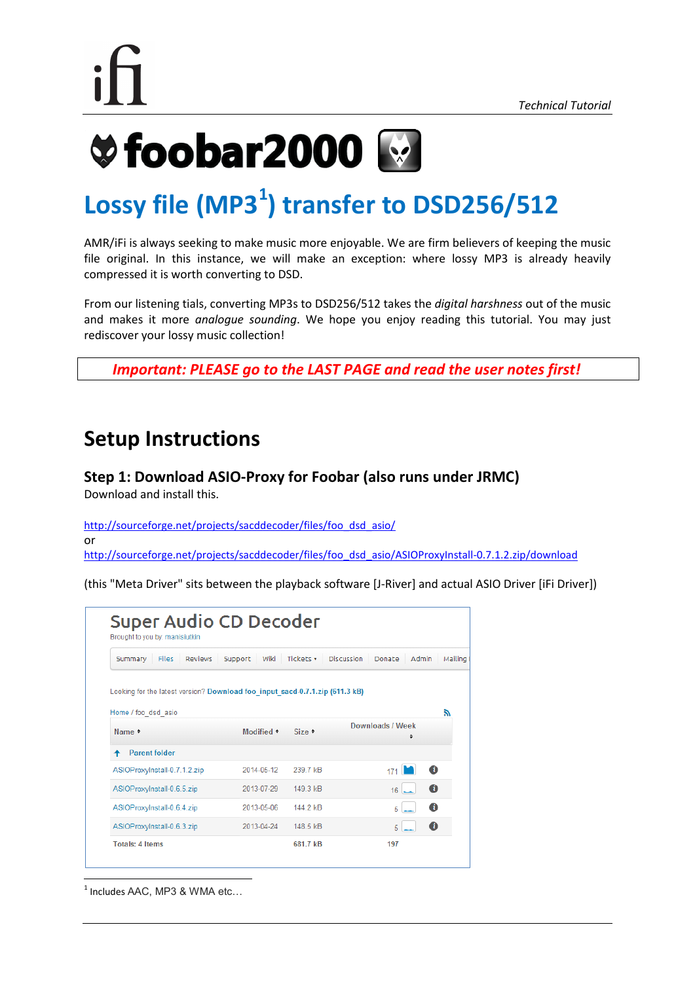## **Ve foobar2000**

## Lossy file (MP3<sup>1</sup>) transfer to DSD256/512

AMR/iFi is always seeking to make music more enjoyable. We are firm believers of keeping the music file original. In this instance, we will make an exception: where lossy MP3 is already heavily compressed it is worth converting to DSD.

From our listening tials, converting MP3s to DSD256/512 takes the *digital harshness* out of the music and makes it more *analogue sounding*. We hope you enjoy reading this tutorial. You may just rediscover your lossy music collection!

*Important: PLEASE go to the LAST PAGE and read the user notes first!*

## **Setup Instructions**

#### **Step 1: Download ASIO-Proxy for Foobar (also runs under JRMC)** Download and install this.

[http://sourceforge.net/projects/sacddecoder/files/foo\\_dsd\\_asio/](http://sourceforge.net/projects/sacddecoder/files/foo_dsd_asio/) or [http://sourceforge.net/projects/sacddecoder/files/foo\\_dsd\\_asio/ASIOProxyInstall-0.7.1.2.zip/download](http://sourceforge.net/projects/sacddecoder/files/foo_dsd_asio/ASIOProxyInstall-0.7.1.2.zip/download)

(this "Meta Driver" sits between the playback software [J-River] and actual ASIO Driver [iFi Driver])

| <b>Reviews</b><br><b>Files</b><br>Summary                                    | Wiki<br>Support | Tickets <b>v</b> | <b>Discussion</b><br>Admin<br><b>Donate</b> | Mailing |
|------------------------------------------------------------------------------|-----------------|------------------|---------------------------------------------|---------|
| Looking for the latest version? Download foo input sacd-0.7.1.zip (611.3 kB) |                 |                  |                                             |         |
| Home / foo dsd asio                                                          |                 |                  |                                             | F.      |
| Name $\div$                                                                  | Modified $\div$ | $Size =$         | Downloads / Week<br>٠                       |         |
| <b>Parent folder</b>                                                         |                 |                  |                                             |         |
| ASIOProxylnstall-0.7.1.2.zip                                                 | 2014-05-12      | 239 7 kB         | Ô<br>171                                    |         |
|                                                                              | 2013-07-29      | 149 3 kB         | $\bullet$<br>$16 -$                         |         |
| ASIOProxylnstall-0.6.5.zip                                                   |                 |                  | đ                                           |         |
| ASIOProxylnstall-0.6.4.zip                                                   | 2013-05-06      | 144.2 kB         | 5                                           |         |

 $<sup>1</sup>$  Includes AAC, MP3 & WMA etc...</sup>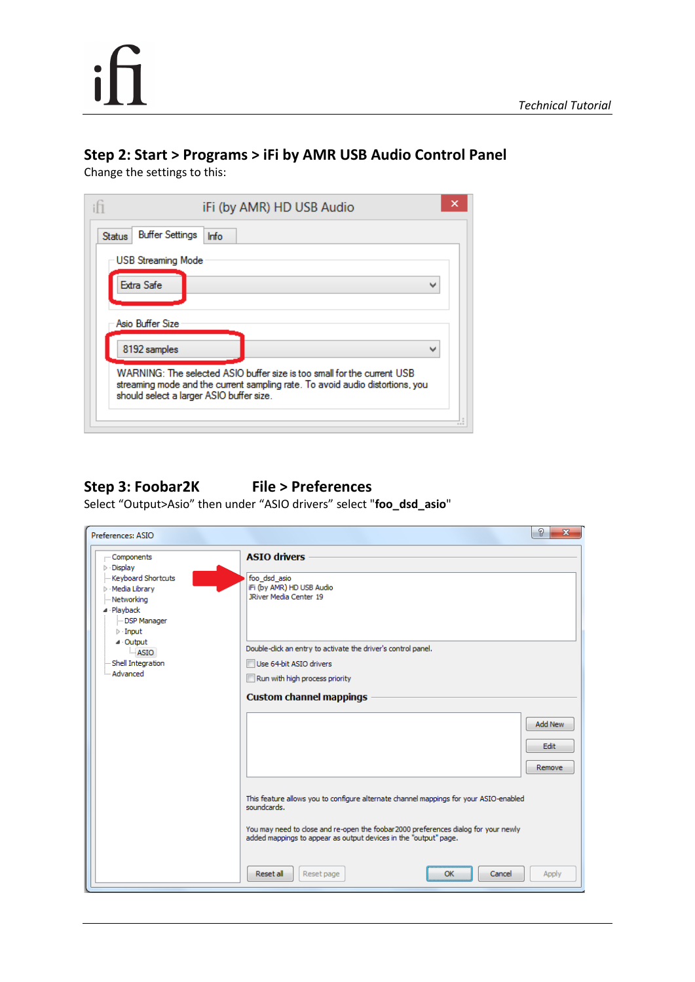# $\mathbf{i}$

### **Step 2: Start > Programs > iFi by AMR USB Audio Control Panel**

Change the settings to this:

| <b>Buffer Settings</b><br><b>Status</b> | <b>Info</b>                                                                                                                                                                                          |   |
|-----------------------------------------|------------------------------------------------------------------------------------------------------------------------------------------------------------------------------------------------------|---|
| <b>USB Streaming Mode</b>               |                                                                                                                                                                                                      |   |
| Extra Safe                              |                                                                                                                                                                                                      | w |
|                                         |                                                                                                                                                                                                      |   |
| Asio Buffer Size                        |                                                                                                                                                                                                      |   |
| 8192 samples                            |                                                                                                                                                                                                      | ш |
|                                         | WARNING: The selected ASIO buffer size is too small for the current USB<br>streaming mode and the current sampling rate. To avoid audio distortions, you<br>should select a larger ASIO buffer size. |   |

#### **Step 3: Foobar2K File > Preferences**

Select "Output>Asio" then under "ASIO drivers" select "**foo\_dsd\_asio**"

| Preferences: ASIO                                                                                                                                                                                                                               | P<br>$\mathbf{x}$                                                                                                                                                                                                                                                                                                                            |
|-------------------------------------------------------------------------------------------------------------------------------------------------------------------------------------------------------------------------------------------------|----------------------------------------------------------------------------------------------------------------------------------------------------------------------------------------------------------------------------------------------------------------------------------------------------------------------------------------------|
| Components<br>$\triangleright$ Display<br>Keyboard Shortcuts<br>$\triangleright$ Media Library<br>- Networking<br>⊿ Playback<br><b>DSP Manager</b><br>$\triangleright$ Input<br>$\triangle$ Output<br>- ASIO<br>Shell Integration<br>- Advanced | <b>ASTO drivers</b><br>foo_dsd_asio<br>iFi (by AMR) HD USB Audio<br><b>JRiver Media Center 19</b><br>Double-click an entry to activate the driver's control panel.<br>Use 64-bit ASIO drivers<br>Run with high process priority<br><b>Custom channel mappings</b><br>Add New                                                                 |
|                                                                                                                                                                                                                                                 | Edit<br>Remove<br>This feature allows you to configure alternate channel mappings for your ASIO-enabled<br>soundcards.<br>You may need to close and re-open the foobar 2000 preferences dialog for your newly<br>added mappings to appear as output devices in the "output" page.<br>Reset all<br>Reset page<br><b>OK</b><br>Cancel<br>Apply |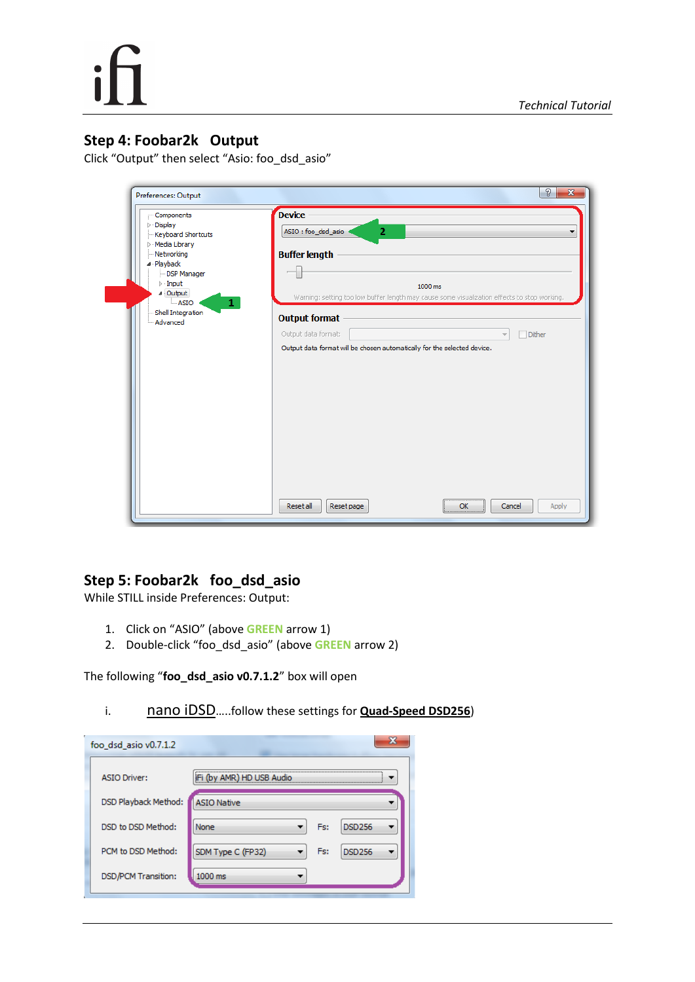#### **Step 4: Foobar2k Output**

Click "Output" then select "Asio: foo\_dsd\_asio"

| :-- Components                                         | <b>Device</b>                                                                                           |        |
|--------------------------------------------------------|---------------------------------------------------------------------------------------------------------|--------|
| $\triangleright$ $\cdot$ Display<br>Keyboard Shortcuts | ASIO: foo_dsd_asio<br>$\overline{2}$                                                                    |        |
| $\triangleright$ Media Library                         |                                                                                                         |        |
| - Networking                                           | <b>Buffer length</b>                                                                                    |        |
| 4 Playback                                             |                                                                                                         |        |
| - DSP Manager<br>$\triangleright$ - Input              |                                                                                                         |        |
| 4 Output                                               | 1000 ms<br>Warning: setting too low buffer length may cause some visualization effects to stop working. |        |
| $\mathbf{1}$<br>⊧ ASIO                                 |                                                                                                         |        |
| - Shell Integration<br>- Advanced                      | <b>Output format</b>                                                                                    |        |
|                                                        | Output data format:                                                                                     | Dither |
|                                                        | Output data format will be chosen automatically for the selected device.                                |        |
|                                                        |                                                                                                         |        |
|                                                        |                                                                                                         |        |
|                                                        |                                                                                                         |        |
|                                                        |                                                                                                         |        |
|                                                        |                                                                                                         |        |
|                                                        |                                                                                                         |        |
|                                                        |                                                                                                         |        |
|                                                        |                                                                                                         |        |
|                                                        |                                                                                                         |        |
|                                                        |                                                                                                         |        |
|                                                        |                                                                                                         |        |
|                                                        |                                                                                                         |        |
|                                                        |                                                                                                         |        |

#### **Step 5: Foobar2k foo\_dsd\_asio**

While STILL inside Preferences: Output:

- 1. Click on "ASIO" (above **GREEN** arrow 1)
- 2. Double-click "foo\_dsd\_asio" (above **GREEN** arrow 2)

The following "**foo\_dsd\_asio v0.7.1.2**" box will open

i. nano iDSD.....follow these settings for **Quad-Speed DSD256**)

| x                                         |
|-------------------------------------------|
| IFI (by AMR) HD USB Audio                 |
| <b>ASIO Native</b>                        |
| <b>DSD256</b><br>None<br>Fs:              |
| Fs:<br>SDM Type C (FP32)<br><b>DSD256</b> |
| 1000 ms                                   |
|                                           |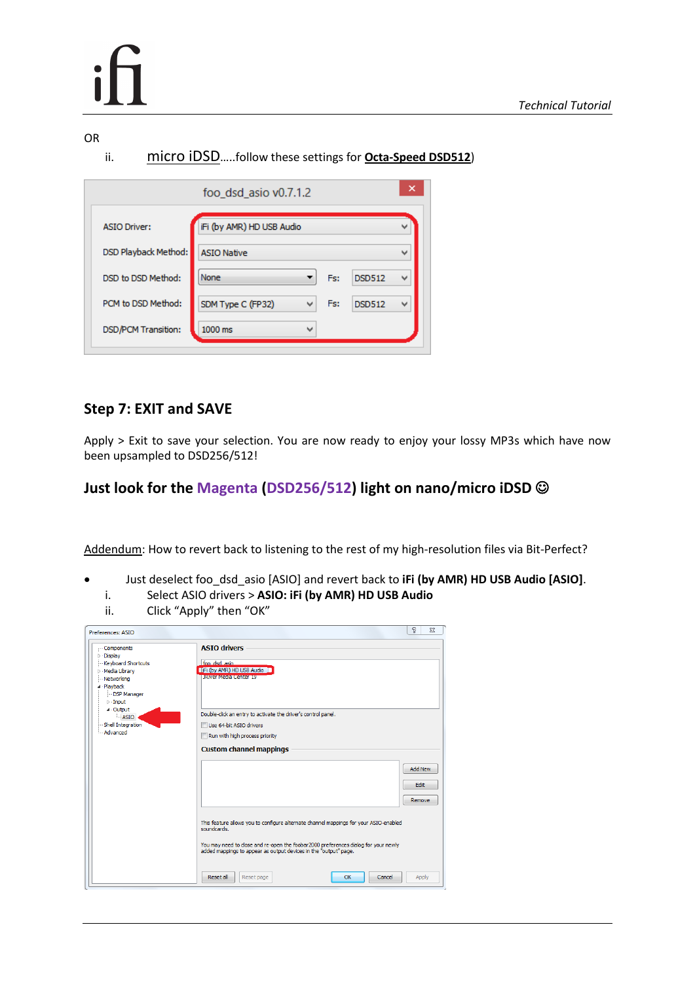#### OR

ii. micro iDSD…..follow these settings for **Octa-Speed DSD512**)

|                             | foo_dsd_asio v0.7.1.2     |                          |     |               | × |
|-----------------------------|---------------------------|--------------------------|-----|---------------|---|
| <b>ASIO Driver:</b>         | iFi (by AMR) HD USB Audio |                          |     |               | v |
| <b>DSD Playback Method:</b> | <b>ASIO Native</b>        |                          |     |               | w |
| DSD to DSD Method:          | None                      |                          | Fs: | <b>DSD512</b> | v |
| PCM to DSD Method:          | SDM Type C (FP32)         | v                        | Fs: | <b>DSD512</b> | v |
| <b>DSD/PCM Transition:</b>  | 1000 ms                   | $\overline{\phantom{a}}$ |     |               |   |

#### **Step 7: EXIT and SAVE**

Apply > Exit to save your selection. You are now ready to enjoy your lossy MP3s which have now been upsampled to DSD256/512!

#### **Just look for the Magenta (DSD256/512) light on nano/micro iDSD**

Addendum: How to revert back to listening to the rest of my high-resolution files via Bit-Perfect?

- Just deselect foo\_dsd\_asio [ASIO] and revert back to **iFi (by AMR) HD USB Audio [ASIO]**.
	- i. Select ASIO drivers > **ASIO: iFi (by AMR) HD USB Audio**
	- Click "Apply" then "OK"

| Preferences: ASIO                                                                         | g<br>$\Sigma$                                                                                                                                           |
|-------------------------------------------------------------------------------------------|---------------------------------------------------------------------------------------------------------------------------------------------------------|
| Components<br>$\triangleright$ - Display<br><b>Keyboard Shortcuts</b>                     | <b>ASTO drivers</b><br>foo dsd asio.                                                                                                                    |
| Media Library<br>- Networking<br>⊿ · Playback<br>-DSP Manager<br>$\triangleright$ - Input | Fi (by AMR) HD USB Audio<br><b>JRIver Media Center 19</b>                                                                                               |
| $4$ Output<br>$-$ ASIO                                                                    | Double-click an entry to activate the driver's control panel.                                                                                           |
| Shell Integration                                                                         | Use 64-bit ASIO drivers                                                                                                                                 |
| Advanced                                                                                  | Run with high process priority                                                                                                                          |
|                                                                                           | <b>Custom channel mappings</b>                                                                                                                          |
|                                                                                           | <b>Add New</b>                                                                                                                                          |
|                                                                                           | Edit                                                                                                                                                    |
|                                                                                           | Remove                                                                                                                                                  |
|                                                                                           | This feature allows you to configure alternate channel mappings for your ASIO-enabled<br>soundcards.                                                    |
|                                                                                           | You may need to close and re-open the foobar 2000 preferences dialog for your newly<br>added mappings to appear as output devices in the "output" page. |
|                                                                                           | <b>Reset all</b><br>Reset page<br>OK<br>Cancel<br>Apply                                                                                                 |